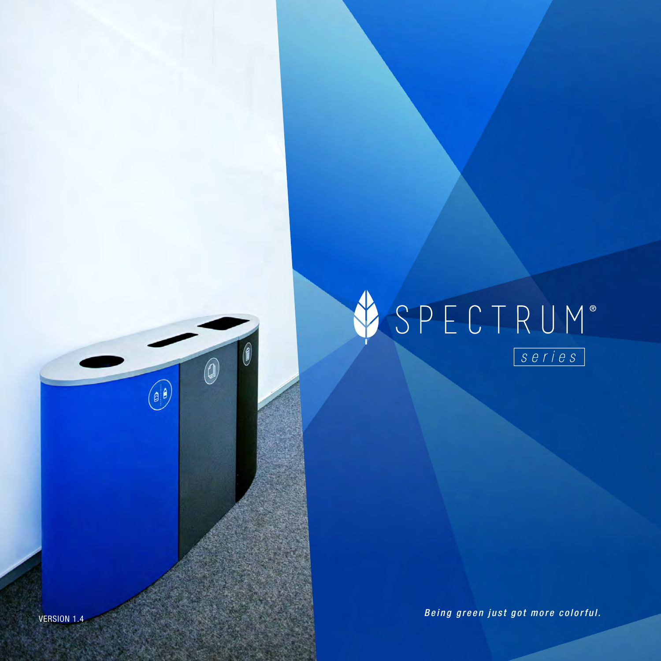# SPECTRUM®

VERSION 1.4 *Being green just got more colorful.*

0

 $\begin{picture}(20,20) \put(0,0){\line(1,0){10}} \put(15,0){\line(1,0){10}} \put(15,0){\line(1,0){10}} \put(15,0){\line(1,0){10}} \put(15,0){\line(1,0){10}} \put(15,0){\line(1,0){10}} \put(15,0){\line(1,0){10}} \put(15,0){\line(1,0){10}} \put(15,0){\line(1,0){10}} \put(15,0){\line(1,0){10}} \put(15,0){\line(1,0){10}} \put(15,0){\line(1$ 

 $\circledcirc$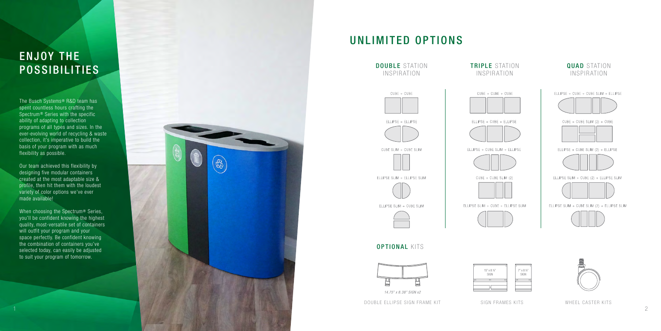### UNLIMITED OPTIONS

The Busch Systems ® R&D team has spent countless hours crafting the Spectrum ® Series with the specific ability of adapting to collection programs of all types and sizes. In the ever-evolving world of recycling & waste collection, it's imperative to build the basis of your program with as much flexibility as possible.

Our team achieved this flexibility by designing five modular containers created at the most adaptable size & profile, then hit them with the loudest variety of color options we've ever made available!



When choosing the Spectrum ® Series, you'll be confident knowing the highest quality, most-versatile set of containers will outfit your program and your space perfectly. Be confident knowing the combination of containers you've selected today, can easily be adjusted to suit your program of tomorrow.

# ENJOY THE



#### QUAD STATION INSPIRATION



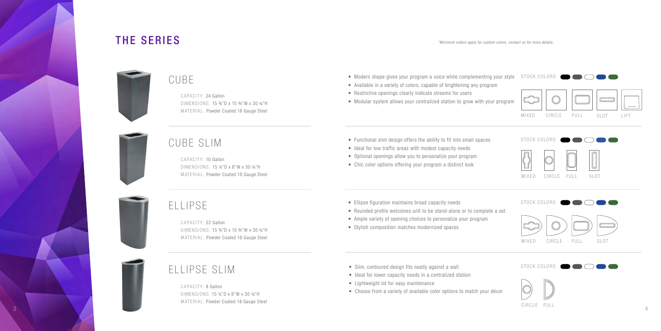CAPACITY: 24 Gallon DIMENSIONS: 15 ¾"D x 15 ¾"W x 30 ⅜"H MATERIAL: Powder Coated 18 Gauge Steel

CAPACITY: 10 Gallon DIMENSIONS: 15 ¾"D x 8"W x 30 ⅜"H

### CUBE SLIM

#### CUBE



CAPACITY: 8 Gallon DIMENSIONS: 15 ¾"D x 8"W x 30 ⅜"H MATERIAL: Powder Coated 18 Gauge Steel

## ELLIPSE SLIM



- Modern shape gives your program a voice while complementing your style
- Available in a variety of colors, capable of brightening any program
- Restrictive openings clearly indicate streams for users
- Modular system allows your centralized station to grow with your program
- Functional slim design offers the ability to fit into small spaces
- Ideal for low traffic areas with modest capacity needs
- Optional openings allow you to personalize your program
- Chic color options offering your program a distinct look
- Ellipse figuration maintains broad capacity needs
- Rounded profile welcomes unit to be stand-alone or to complete a set
- Ample variety of opening choices to personalize your program
- Stylish composition matches modernized spaces
- Slim, contoured design fits neatly against a wall
- Ideal for lower capacity needs in a centralized station
- Lightweight lid for easy maintenance
- Choose from a variety of available color options to match your décor

CAPACITY: 22 Gallon DIMENSIONS: 15 ¾"D x 15 ¾"W x 30 ⅜"H MATERIAL: Powder Coated 18 Gauge Steel

## ELLIPSE

\*Minimum orders apply for custom colors, contact us for more details.

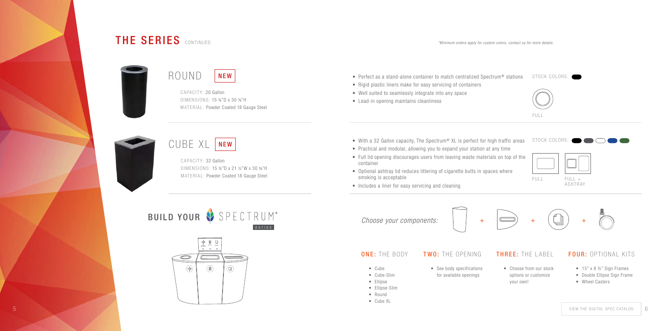5

CAPACITY: 20 Gallon DIMENSIONS: 15 ¾"D x 30 ⅜"H MATERIAL: Powder Coated 18 Gauge Steel

CUBE XL NEW

• See body specifications for available openings





#### ONE: THE BODY TWO: THE OPENING THREE: THE LABEL FOUR: OPTIONAL KITS

- Cube
- Cube-Slim • Ellipse
- Ellipse-Slim
- Round
- Cube XL

• Choose from our stock options or customize your own!



- 15" x 8 ½" Sign Frames
- Double Ellipse Sign Frame
- Wheel Casters



- $\mathsf{ROMD}$  NEW  $\vert$  . The stand-alone container to match centralized Spectrum® stations stock colors:
	- Rigid plastic liners make for easy servicing of containers
	- Well suited to seamlessly integrate into any space
	- Lead-in opening maintains cleanliness
	- With a 32 Gallon capacity, The Spectrum® XL is perfect for high traffic areas
	- Practical and modular, allowing you to expand your station at any time
	- Full lid opening discourages users from leaving waste materials on top of the container
	- Optional ashtray lid reduces littering of cigarette butts in spaces where smoking is acceptable
	- Includes a liner for easy servicing and cleaning

Choose your components:  $| +$ 



CAPACITY: 32 Gallon DIMENSIONS: 15 ¾"D x 21 ½"W x 30 ⅜"H MATERIAL: Powder Coated 18 Gauge Steel

BUILD YOUR SPECTRUM®  $s$ eries

\*Minimum orders apply for custom colors, contact us for more details.